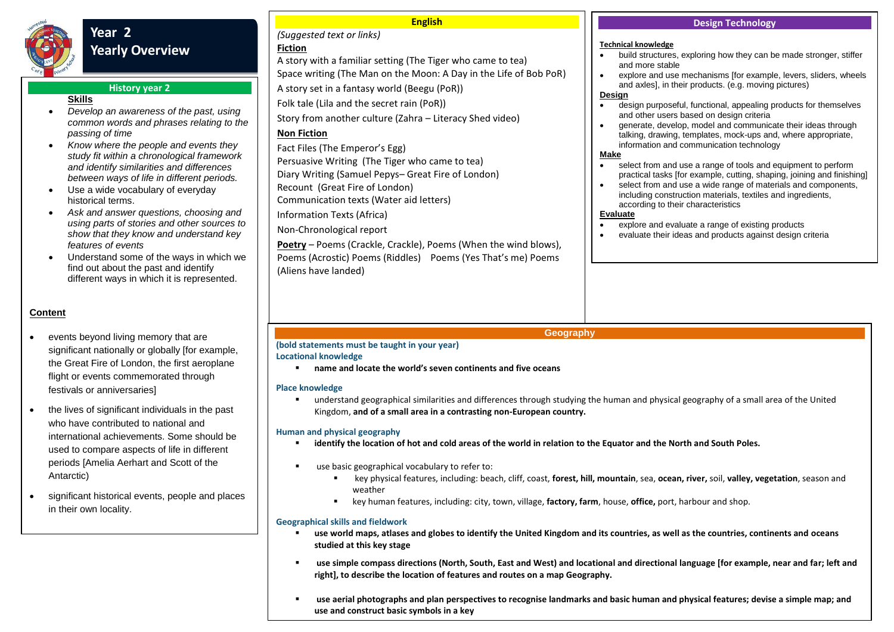

# **Year 2 Yearly Overview**

# **History year 2**

# **Skills**

- *Develop an awareness of the past, using common words and phrases relating to the passing of time*
- *Know where the people and events they study fit within a chronological framework and identify similarities and differences between ways of life in different periods.*
- Use a wide vocabulary of everyday historical terms.
- *Ask and answer questions, choosing and using parts of stories and other sources to show that they know and understand key features of events*
- Understand some of the ways in which we find out about the past and identify different ways in which it is represented.

# **Content**

- events beyond living memory that are significant nationally or globally [for example, the Great Fire of London, the first aeroplane flight or events commemorated through festivals or anniversaries]
- the lives of significant individuals in the past who have contributed to national and international achievements. Some should be used to compare aspects of life in different periods [Amelia Aerhart and Scott of the Antarctic)
- significant historical events, people and places in their own locality.

**Technical knowledge** • build structures, exploring how they can be made stronger, stiffer and more stable explore and use mechanisms [for example, levers, sliders, wheels and axles], in their products. (e.g. moving pictures) **Design** design purposeful, functional, appealing products for themselves and other users based on design criteria • aenerate, develop, model and communicate their ideas through talking, drawing, templates, mock-ups and, where appropriate, information and communication technology **Make** select from and use a range of tools and equipment to perform practical tasks [for example, cutting, shaping, joining and finishing] select from and use a wide range of materials and components, including construction materials, textiles and ingredients, according to their characteristics **Evaluate** explore and evaluate a range of existing products evaluate their ideas and products against design criteria *(Suggested text or links)* **Fiction** A story with a familiar setting (The Tiger who came to tea) Space writing (The Man on the Moon: A Day in the Life of Bob PoR) A story set in a fantasy world (Beegu (PoR)) Folk tale (Lila and the secret rain (PoR)) Story from another culture (Zahra – Literacy Shed video) **Non Fiction** Fact Files (The Emperor's Egg) Persuasive Writing (The Tiger who came to tea) Diary Writing (Samuel Pepys– Great Fire of London) Recount (Great Fire of London) Communication texts (Water aid letters) Information Texts (Africa) Non-Chronological report **Poetry** – Poems (Crackle, Crackle), Poems (When the wind blows),

**Design Technology** 

#### **Geography**

#### **(bold statements must be taught in your year)**

**Locational knowledge**

(Aliens have landed)

**name and locate the world's seven continents and five oceans** 

Poems (Acrostic) Poems (Riddles) Poems (Yes That's me) Poems

**English**

#### **Place knowledge**

 understand geographical similarities and differences through studying the human and physical geography of a small area of the United Kingdom, **and of a small area in a contrasting non-European country.**

### **Human and physical geography**

- **identify the location of hot and cold areas of the world in relation to the Equator and the North and South Poles.**
- use basic geographical vocabulary to refer to:
	- key physical features, including: beach, cliff, coast, **forest, hill, mountain**, sea, **ocean, river,** soil, **valley, vegetation**, season and weather
	- key human features, including: city, town, village, **factory, farm**, house, **office,** port, harbour and shop.

### **Geographical skills and fieldwork**

- **use world maps, atlases and globes to identify the United Kingdom and its countries, as well as the countries, continents and oceans studied at this key stage**
- **use simple compass directions (North, South, East and West) and locational and directional language [for example, near and far; left and right], to describe the location of features and routes on a map Geography.**
- **use aerial photographs and plan perspectives to recognise landmarks and basic human and physical features; devise a simple map; and use and construct basic symbols in a key**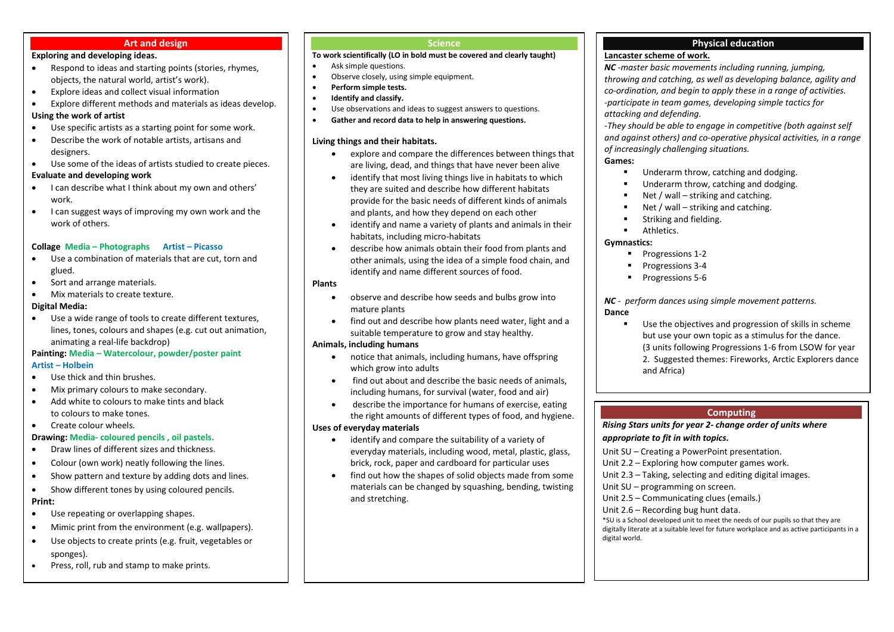#### **Art and design**

# **Exploring and developing ideas.**

- Respond to ideas and starting points (stories, rhymes, objects, the natural world, artist's work).
- Explore ideas and collect visual information
- Explore different methods and materials as ideas develop. **Using the work of artist**
- Use specific artists as a starting point for some work.
- Describe the work of notable artists, artisans and designers.
- Use some of the ideas of artists studied to create pieces.

#### **Evaluate and developing work**

- I can describe what I think about my own and others' work.
- I can suggest ways of improving my own work and the work of others.

### **Collage Media – Photographs Artist – Picasso**

- Use a combination of materials that are cut, torn and glued.
- Sort and arrange materials.
- Mix materials to create texture.

#### **Digital Media:**

 Use a wide range of tools to create different textures, lines, tones, colours and shapes (e.g. cut out animation, animating a real-life backdrop)

#### **Painting: Media – Watercolour, powder/poster paint Artist – Holbein**

- Use thick and thin brushes.
- $\bullet$  Mix primary colours to make secondary.
- Add white to colours to make tints and black to colours to make tones.
- Create colour wheels.

### **Drawing: Media- coloured pencils , oil pastels.**

- Draw lines of different sizes and thickness.
- Colour (own work) neatly following the lines.
- Show pattern and texture by adding dots and lines.
- Show different tones by using coloured pencils.

#### **Print:**

- Use repeating or overlapping shapes.
- Mimic print from the environment (e.g. wallpapers).
- Use objects to create prints (e.g. fruit, vegetables or sponges).
- Press, roll, rub and stamp to make prints.

#### **Science**

#### **To work scientifically (LO in bold must be covered and clearly taught)**

- Ask simple questions.
- Observe closely, using simple equipment.
- **Perform simple tests.**
- **Identify and classify.**
- Use observations and ideas to suggest answers to questions.
- **Gather and record data to help in answering questions.**

#### **Living things and their habitats.**

- explore and compare the differences between things that are living, dead, and things that have never been alive
- identify that most living things live in habitats to which they are suited and describe how different habitats provide for the basic needs of different kinds of animals and plants, and how they depend on each other
- identify and name a variety of plants and animals in their habitats, including micro-habitats
- describe how animals obtain their food from plants and other animals, using the idea of a simple food chain, and identify and name different sources of food.

#### **Plants**

- observe and describe how seeds and bulbs grow into mature plants
- find out and describe how plants need water, light and a suitable temperature to grow and stay healthy.

#### **Animals, including humans**

- notice that animals, including humans, have offspring which grow into adults
- find out about and describe the basic needs of animals, including humans, for survival (water, food and air)
- describe the importance for humans of exercise, eating the right amounts of different types of food, and hygiene. **Uses of everyday materials**
	- identify and compare the suitability of a variety of everyday materials, including wood, metal, plastic, glass, brick, rock, paper and cardboard for particular uses
	- find out how the shapes of solid objects made from some materials can be changed by squashing, bending, twisting and stretching.

# **Physical education**

# **Lancaster scheme of work.**

*NC -master basic movements including running, jumping, throwing and catching, as well as developing balance, agility and co-ordination, and begin to apply these in a range of activities. -participate in team games, developing simple tactics for attacking and defending.* 

*-They should be able to engage in competitive (both against self and against others) and co-operative physical activities, in a range of increasingly challenging situations.*

#### **Games:**

- **Underarm throw, catching and dodging.**
- Underarm throw, catching and dodging.
- Net / wall striking and catching.
- Net / wall striking and catching.
- **EXECUTE:** Striking and fielding.
- **Athletics.**

# **Gymnastics:**

- Progressions 1-2
- Progressions 3-4
- **Progressions 5-6**

# *NC - perform dances using simple movement patterns.*

#### **Dance**

 Use the objectives and progression of skills in scheme but use your own topic as a stimulus for the dance. (3 units following Progressions 1-6 from LSOW for year 2. Suggested themes: Fireworks, Arctic Explorers dance and Africa)

# **Computing**

#### *Rising Stars units for year 2- change order of units where appropriate to fit in with topics.*

Unit SU – Creating a PowerPoint presentation.

- Unit 2.2 Exploring how computer games work.
- Unit 2.3 Taking, selecting and editing digital images.
- Unit SU programming on screen.
- Unit 2.5 Communicating clues (emails.)
- Unit 2.6 Recording bug hunt data.

\*SU is a School developed unit to meet the needs of our pupils so that they are digitally literate at a suitable level for future workplace and as active participants in a digital world.